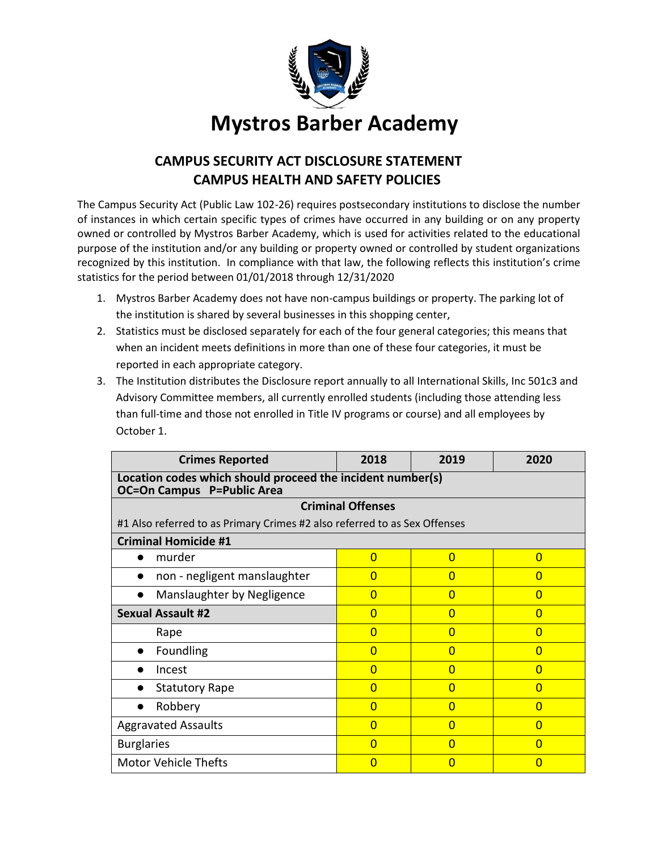

# **CAMPUS SECURITY ACT DISCLOSURE STATEMENT CAMPUS HEALTH AND SAFETY POLICIES**

The Campus Security Act (Public Law 102-26) requires postsecondary institutions to disclose the number of instances in which certain specific types of crimes have occurred in any building or on any property owned or controlled by Mystros Barber Academy, which is used for activities related to the educational purpose of the institution and/or any building or property owned or controlled by student organizations recognized by this institution. In compliance with that law, the following reflects this institution's crime statistics for the period between 01/01/2018 through 12/31/2020

- 1. Mystros Barber Academy does not have non-campus buildings or property. The parking lot of the institution is shared by several businesses in this shopping center,
- 2. Statistics must be disclosed separately for each of the four general categories; this means that when an incident meets definitions in more than one of these four categories, it must be reported in each appropriate category.
- 3. The Institution distributes the Disclosure report annually to all International Skills, Inc 501c3 and Advisory Committee members, all currently enrolled students (including those attending less than full-time and those not enrolled in Title IV programs or course) and all employees by October 1.

| <b>Crimes Reported</b>                                                                          | 2018           | 2019           | 2020           |  |  |
|-------------------------------------------------------------------------------------------------|----------------|----------------|----------------|--|--|
| Location codes which should proceed the incident number(s)<br><b>OC=On Campus P=Public Area</b> |                |                |                |  |  |
| <b>Criminal Offenses</b>                                                                        |                |                |                |  |  |
| #1 Also referred to as Primary Crimes #2 also referred to as Sex Offenses                       |                |                |                |  |  |
| <b>Criminal Homicide #1</b>                                                                     |                |                |                |  |  |
| murder                                                                                          | $\overline{0}$ | $\overline{0}$ | $\Omega$       |  |  |
| non - negligent manslaughter                                                                    | $\Omega$       | $\Omega$       | $\Omega$       |  |  |
| Manslaughter by Negligence                                                                      | $\Omega$       | $\Omega$       | $\Omega$       |  |  |
| <b>Sexual Assault #2</b>                                                                        | $\Omega$       | $\Omega$       | $\Omega$       |  |  |
| Rape                                                                                            | $\overline{0}$ | $\overline{0}$ | $\Omega$       |  |  |
| Foundling                                                                                       | $\Omega$       | $\Omega$       | $\Omega$       |  |  |
| Incest                                                                                          | $\Omega$       | $\Omega$       | $\Omega$       |  |  |
| <b>Statutory Rape</b>                                                                           | $\Omega$       | $\Omega$       | $\overline{0}$ |  |  |
| Robbery                                                                                         | $\Omega$       | $\Omega$       | $\Omega$       |  |  |
| <b>Aggravated Assaults</b>                                                                      | $\Omega$       | $\Omega$       | $\Omega$       |  |  |
| <b>Burglaries</b>                                                                               | $\Omega$       | $\Omega$       | $\Omega$       |  |  |
| <b>Motor Vehicle Thefts</b>                                                                     | $\Omega$       | $\Omega$       | $\Omega$       |  |  |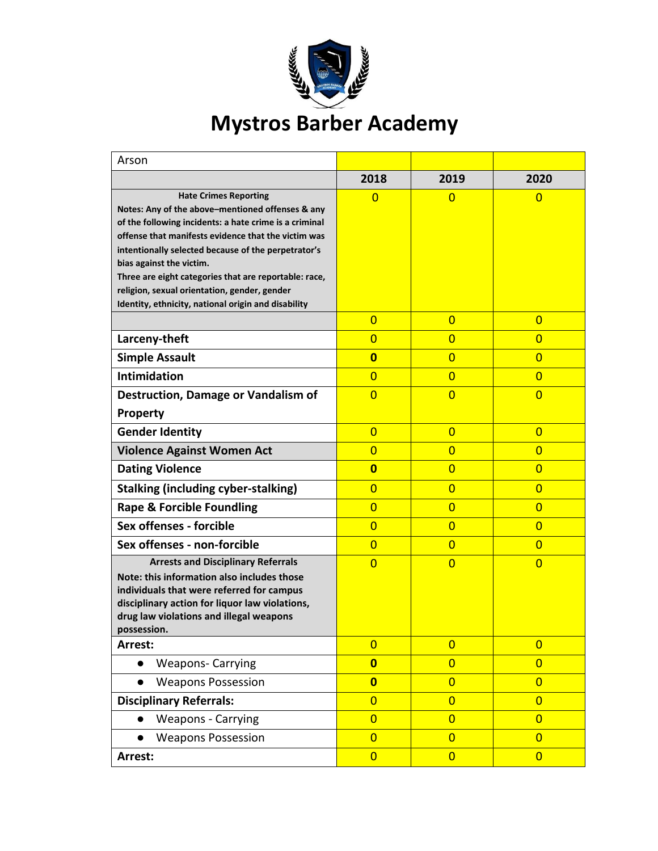

| Arson                                                                                                                                                                                                                                                                                                                                                                                                                                                |                         |                |                |
|------------------------------------------------------------------------------------------------------------------------------------------------------------------------------------------------------------------------------------------------------------------------------------------------------------------------------------------------------------------------------------------------------------------------------------------------------|-------------------------|----------------|----------------|
|                                                                                                                                                                                                                                                                                                                                                                                                                                                      | 2018                    | 2019           | 2020           |
| <b>Hate Crimes Reporting</b><br>Notes: Any of the above-mentioned offenses & any<br>of the following incidents: a hate crime is a criminal<br>offense that manifests evidence that the victim was<br>intentionally selected because of the perpetrator's<br>bias against the victim.<br>Three are eight categories that are reportable: race,<br>religion, sexual orientation, gender, gender<br>Identity, ethnicity, national origin and disability | $\Omega$                | 0              | 0              |
|                                                                                                                                                                                                                                                                                                                                                                                                                                                      | $\overline{0}$          | $\mathbf{0}$   | $\overline{0}$ |
| Larceny-theft                                                                                                                                                                                                                                                                                                                                                                                                                                        | $\overline{0}$          | $\overline{0}$ | $\overline{0}$ |
| <b>Simple Assault</b>                                                                                                                                                                                                                                                                                                                                                                                                                                | $\overline{\mathbf{0}}$ | $\overline{0}$ | $\overline{0}$ |
| <b>Intimidation</b>                                                                                                                                                                                                                                                                                                                                                                                                                                  | $\overline{0}$          | $\overline{0}$ | $\overline{0}$ |
| <b>Destruction, Damage or Vandalism of</b>                                                                                                                                                                                                                                                                                                                                                                                                           | $\overline{0}$          | $\overline{0}$ | $\overline{0}$ |
| <b>Property</b>                                                                                                                                                                                                                                                                                                                                                                                                                                      |                         |                |                |
| <b>Gender Identity</b>                                                                                                                                                                                                                                                                                                                                                                                                                               | $\overline{0}$          | $\overline{0}$ | $\overline{0}$ |
| <b>Violence Against Women Act</b>                                                                                                                                                                                                                                                                                                                                                                                                                    | $\overline{0}$          | $\overline{0}$ | $\overline{0}$ |
| <b>Dating Violence</b>                                                                                                                                                                                                                                                                                                                                                                                                                               | $\overline{\mathbf{0}}$ | $\overline{0}$ | $\overline{0}$ |
| <b>Stalking (including cyber-stalking)</b>                                                                                                                                                                                                                                                                                                                                                                                                           | $\overline{0}$          | $\overline{0}$ | $\overline{0}$ |
| <b>Rape &amp; Forcible Foundling</b>                                                                                                                                                                                                                                                                                                                                                                                                                 | $\overline{0}$          | $\overline{0}$ | $\overline{0}$ |
| Sex offenses - forcible                                                                                                                                                                                                                                                                                                                                                                                                                              | $\overline{0}$          | $\overline{0}$ | $\overline{0}$ |
| Sex offenses - non-forcible                                                                                                                                                                                                                                                                                                                                                                                                                          | $\overline{0}$          | $\overline{0}$ | $\overline{0}$ |
| <b>Arrests and Disciplinary Referrals</b><br>Note: this information also includes those<br>individuals that were referred for campus<br>disciplinary action for liquor law violations,<br>drug law violations and illegal weapons<br>possession.                                                                                                                                                                                                     | $\overline{0}$          | $\overline{0}$ | $\overline{0}$ |
| Arrest:                                                                                                                                                                                                                                                                                                                                                                                                                                              | $\overline{0}$          | $\overline{0}$ | $\overline{0}$ |
| <b>Weapons- Carrying</b><br>$\bullet$                                                                                                                                                                                                                                                                                                                                                                                                                | $\overline{\mathbf{0}}$ | $\overline{0}$ | $\overline{0}$ |
| <b>Weapons Possession</b>                                                                                                                                                                                                                                                                                                                                                                                                                            | $\overline{\mathbf{0}}$ | $\overline{0}$ | $\overline{0}$ |
| <b>Disciplinary Referrals:</b>                                                                                                                                                                                                                                                                                                                                                                                                                       | $\overline{0}$          | $\overline{0}$ | $\overline{0}$ |
| <b>Weapons - Carrying</b>                                                                                                                                                                                                                                                                                                                                                                                                                            | $\overline{0}$          | $\overline{0}$ | $\overline{0}$ |
| <b>Weapons Possession</b>                                                                                                                                                                                                                                                                                                                                                                                                                            | $\overline{0}$          | $\overline{0}$ | $\overline{0}$ |
| Arrest:                                                                                                                                                                                                                                                                                                                                                                                                                                              | $\overline{0}$          | $\overline{0}$ | $\overline{0}$ |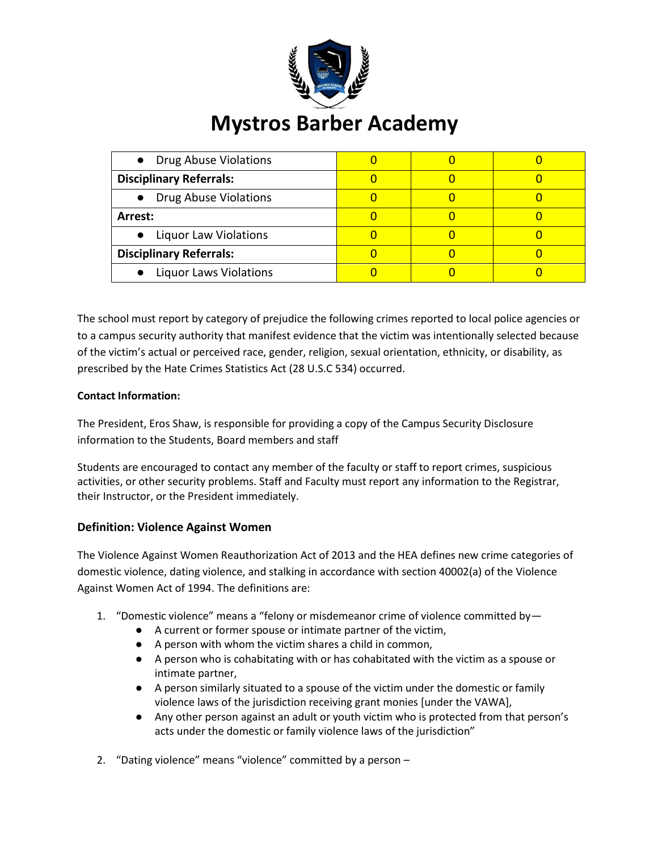

| • Drug Abuse Violations        |  |  |
|--------------------------------|--|--|
| <b>Disciplinary Referrals:</b> |  |  |
| • Drug Abuse Violations        |  |  |
| Arrest:                        |  |  |
| • Liquor Law Violations        |  |  |
| <b>Disciplinary Referrals:</b> |  |  |
| • Liquor Laws Violations       |  |  |

The school must report by category of prejudice the following crimes reported to local police agencies or to a campus security authority that manifest evidence that the victim was intentionally selected because of the victim's actual or perceived race, gender, religion, sexual orientation, ethnicity, or disability, as prescribed by the Hate Crimes Statistics Act (28 U.S.C 534) occurred.

### **Contact Information:**

The President, Eros Shaw, is responsible for providing a copy of the Campus Security Disclosure information to the Students, Board members and staff

Students are encouraged to contact any member of the faculty or staff to report crimes, suspicious activities, or other security problems. Staff and Faculty must report any information to the Registrar, their Instructor, or the President immediately.

### **Definition: Violence Against Women**

The Violence Against Women Reauthorization Act of 2013 and the HEA defines new crime categories of domestic violence, dating violence, and stalking in accordance with section 40002(a) of the Violence Against Women Act of 1994. The definitions are:

- 1. "Domestic violence" means a "felony or misdemeanor crime of violence committed by—
	- A current or former spouse or intimate partner of the victim,
	- A person with whom the victim shares a child in common,
	- A person who is cohabitating with or has cohabitated with the victim as a spouse or intimate partner,
	- A person similarly situated to a spouse of the victim under the domestic or family violence laws of the jurisdiction receiving grant monies [under the VAWA],
	- Any other person against an adult or youth victim who is protected from that person's acts under the domestic or family violence laws of the jurisdiction"
- 2. "Dating violence" means "violence" committed by a person –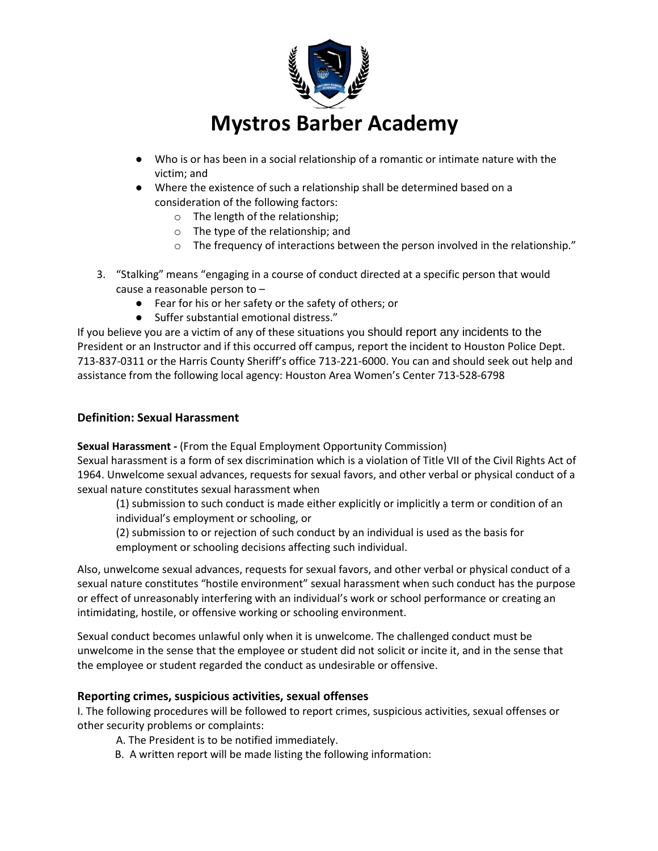

- Who is or has been in a social relationship of a romantic or intimate nature with the victim; and
- Where the existence of such a relationship shall be determined based on a consideration of the following factors:
	- o The length of the relationship;
	- o The type of the relationship; and
	- o The frequency of interactions between the person involved in the relationship."
- 3. "Stalking" means "engaging in a course of conduct directed at a specific person that would cause a reasonable person to –
	- Fear for his or her safety or the safety of others; or
	- Suffer substantial emotional distress."

If you believe you are a victim of any of these situations you should report any incidents to the President or an Instructor and if this occurred off campus, report the incident to Houston Police Dept. 713-837-0311 or the Harris County Sheriff's office 713-221-6000. You can and should seek out help and assistance from the following local agency: Houston Area Women's Center 713-528-6798

### **Definition: Sexual Harassment**

**Sexual Harassment -** (From the Equal Employment Opportunity Commission)

Sexual harassment is a form of sex discrimination which is a violation of Title VII of the Civil Rights Act of 1964. Unwelcome sexual advances, requests for sexual favors, and other verbal or physical conduct of a sexual nature constitutes sexual harassment when

(1) submission to such conduct is made either explicitly or implicitly a term or condition of an individual's employment or schooling, or

(2) submission to or rejection of such conduct by an individual is used as the basis for employment or schooling decisions affecting such individual.

Also, unwelcome sexual advances, requests for sexual favors, and other verbal or physical conduct of a sexual nature constitutes "hostile environment" sexual harassment when such conduct has the purpose or effect of unreasonably interfering with an individual's work or school performance or creating an intimidating, hostile, or offensive working or schooling environment.

Sexual conduct becomes unlawful only when it is unwelcome. The challenged conduct must be unwelcome in the sense that the employee or student did not solicit or incite it, and in the sense that the employee or student regarded the conduct as undesirable or offensive.

### **Reporting crimes, suspicious activities, sexual offenses**

I. The following procedures will be followed to report crimes, suspicious activities, sexual offenses or other security problems or complaints:

- A. The President is to be notified immediately.
- B. A written report will be made listing the following information: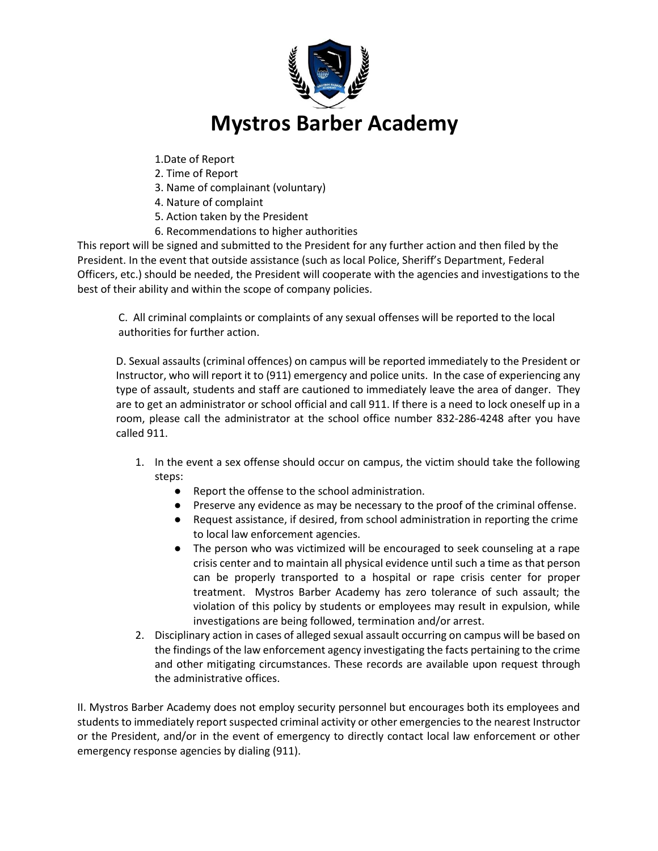

- 1.Date of Report
- 2. Time of Report
- 3. Name of complainant (voluntary)
- 4. Nature of complaint
- 5. Action taken by the President
- 6. Recommendations to higher authorities

This report will be signed and submitted to the President for any further action and then filed by the President. In the event that outside assistance (such as local Police, Sheriff's Department, Federal Officers, etc.) should be needed, the President will cooperate with the agencies and investigations to the best of their ability and within the scope of company policies.

C. All criminal complaints or complaints of any sexual offenses will be reported to the local authorities for further action.

D. Sexual assaults (criminal offences) on campus will be reported immediately to the President or Instructor, who will report it to (911) emergency and police units. In the case of experiencing any type of assault, students and staff are cautioned to immediately leave the area of danger. They are to get an administrator or school official and call 911. If there is a need to lock oneself up in a room, please call the administrator at the school office number 832-286-4248 after you have called 911.

- 1. In the event a sex offense should occur on campus, the victim should take the following steps:
	- Report the offense to the school administration.
	- Preserve any evidence as may be necessary to the proof of the criminal offense.
	- Request assistance, if desired, from school administration in reporting the crime to local law enforcement agencies.
	- The person who was victimized will be encouraged to seek counseling at a rape crisis center and to maintain all physical evidence until such a time as that person can be properly transported to a hospital or rape crisis center for proper treatment. Mystros Barber Academy has zero tolerance of such assault; the violation of this policy by students or employees may result in expulsion, while investigations are being followed, termination and/or arrest.
- 2. Disciplinary action in cases of alleged sexual assault occurring on campus will be based on the findings of the law enforcement agency investigating the facts pertaining to the crime and other mitigating circumstances. These records are available upon request through the administrative offices.

II. Mystros Barber Academy does not employ security personnel but encourages both its employees and students to immediately report suspected criminal activity or other emergencies to the nearest Instructor or the President, and/or in the event of emergency to directly contact local law enforcement or other emergency response agencies by dialing (911).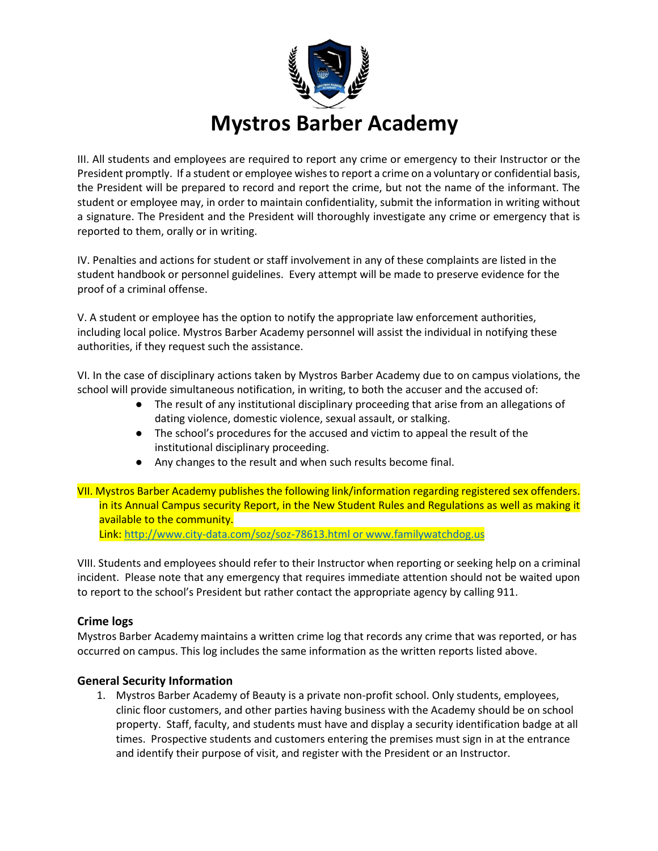

III. All students and employees are required to report any crime or emergency to their Instructor or the President promptly. If a student or employee wishes to report a crime on a voluntary or confidential basis, the President will be prepared to record and report the crime, but not the name of the informant. The student or employee may, in order to maintain confidentiality, submit the information in writing without a signature. The President and the President will thoroughly investigate any crime or emergency that is reported to them, orally or in writing.

IV. Penalties and actions for student or staff involvement in any of these complaints are listed in the student handbook or personnel guidelines. Every attempt will be made to preserve evidence for the proof of a criminal offense.

V. A student or employee has the option to notify the appropriate law enforcement authorities, including local police. Mystros Barber Academy personnel will assist the individual in notifying these authorities, if they request such the assistance.

VI. In the case of disciplinary actions taken by Mystros Barber Academy due to on campus violations, the school will provide simultaneous notification, in writing, to both the accuser and the accused of:

- The result of any institutional disciplinary proceeding that arise from an allegations of dating violence, domestic violence, sexual assault, or stalking.
- The school's procedures for the accused and victim to appeal the result of the institutional disciplinary proceeding.
- Any changes to the result and when such results become final.
- VII. Mystros Barber Academy publishes the following link/information regarding registered sex offenders. in its Annual Campus security Report, in the New Student Rules and Regulations as well as making it available to the community.

Link[: http://www.city-data.com/soz/soz-78613.html](http://www.city-data.com/soz/soz-78613.html) or www.familywatchdog.us

VIII. Students and employees should refer to their Instructor when reporting or seeking help on a criminal incident. Please note that any emergency that requires immediate attention should not be waited upon to report to the school's President but rather contact the appropriate agency by calling 911.

### **Crime logs**

Mystros Barber Academy maintains a written crime log that records any crime that was reported, or has occurred on campus. This log includes the same information as the written reports listed above.

### **General Security Information**

1. Mystros Barber Academy of Beauty is a private non-profit school. Only students, employees, clinic floor customers, and other parties having business with the Academy should be on school property. Staff, faculty, and students must have and display a security identification badge at all times. Prospective students and customers entering the premises must sign in at the entrance and identify their purpose of visit, and register with the President or an Instructor.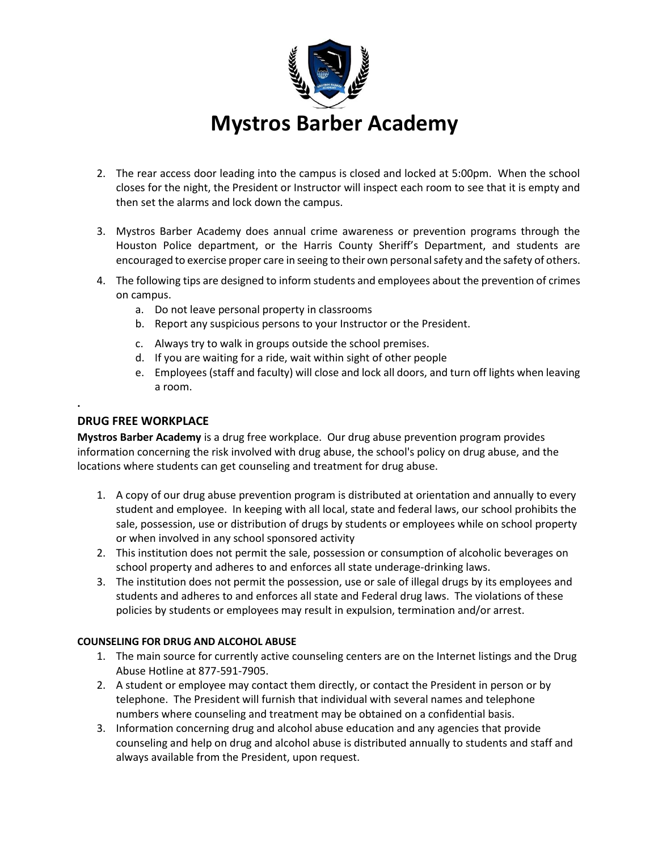

- 2. The rear access door leading into the campus is closed and locked at 5:00pm. When the school closes for the night, the President or Instructor will inspect each room to see that it is empty and then set the alarms and lock down the campus.
- 3. Mystros Barber Academy does annual crime awareness or prevention programs through the Houston Police department, or the Harris County Sheriff's Department, and students are encouraged to exercise proper care in seeing to their own personal safety and the safety of others.
- 4. The following tips are designed to inform students and employees about the prevention of crimes on campus.
	- a. Do not leave personal property in classrooms
	- b. Report any suspicious persons to your Instructor or the President.
	- c. Always try to walk in groups outside the school premises.
	- d. If you are waiting for a ride, wait within sight of other people
	- e. Employees (staff and faculty) will close and lock all doors, and turn off lights when leaving a room.

### **DRUG FREE WORKPLACE**

**.**

**Mystros Barber Academy** is a drug free workplace. Our drug abuse prevention program provides information concerning the risk involved with drug abuse, the school's policy on drug abuse, and the locations where students can get counseling and treatment for drug abuse.

- 1. A copy of our drug abuse prevention program is distributed at orientation and annually to every student and employee. In keeping with all local, state and federal laws, our school prohibits the sale, possession, use or distribution of drugs by students or employees while on school property or when involved in any school sponsored activity
- 2. This institution does not permit the sale, possession or consumption of alcoholic beverages on school property and adheres to and enforces all state underage-drinking laws.
- 3. The institution does not permit the possession, use or sale of illegal drugs by its employees and students and adheres to and enforces all state and Federal drug laws. The violations of these policies by students or employees may result in expulsion, termination and/or arrest.

#### **COUNSELING FOR DRUG AND ALCOHOL ABUSE**

- 1. The main source for currently active counseling centers are on the Internet listings and the Drug Abuse Hotline at 877-591-7905.
- 2. A student or employee may contact them directly, or contact the President in person or by telephone. The President will furnish that individual with several names and telephone numbers where counseling and treatment may be obtained on a confidential basis.
- 3. Information concerning drug and alcohol abuse education and any agencies that provide counseling and help on drug and alcohol abuse is distributed annually to students and staff and always available from the President, upon request.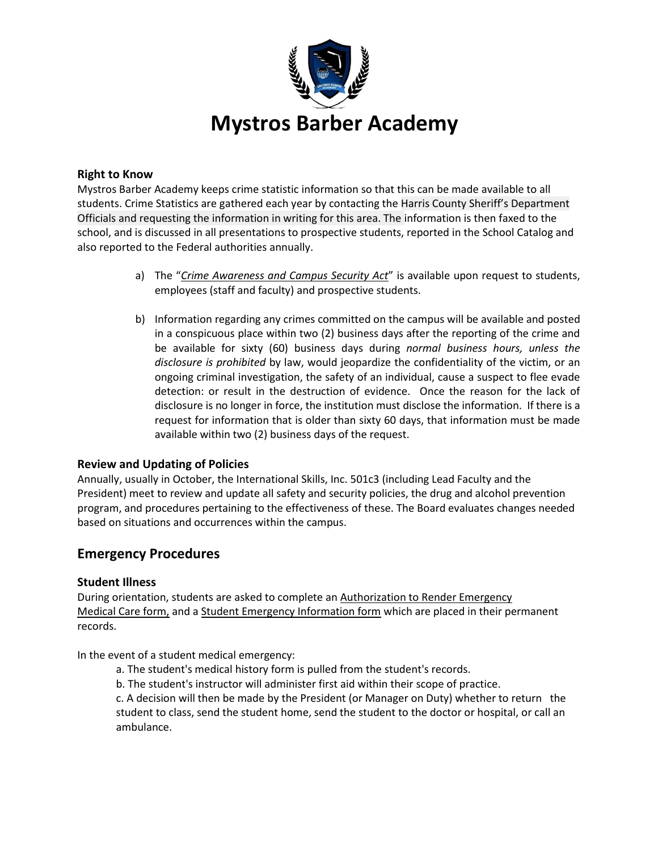

### **Right to Know**

Mystros Barber Academy keeps crime statistic information so that this can be made available to all students. Crime Statistics are gathered each year by contacting the Harris County Sheriff's Department Officials and requesting the information in writing for this area. The information is then faxed to the school, and is discussed in all presentations to prospective students, reported in the School Catalog and also reported to the Federal authorities annually.

- a) The "*Crime Awareness and Campus Security Act*" is available upon request to students, employees (staff and faculty) and prospective students.
- b) Information regarding any crimes committed on the campus will be available and posted in a conspicuous place within two (2) business days after the reporting of the crime and be available for sixty (60) business days during *normal business hours, unless the disclosure is prohibited* by law, would jeopardize the confidentiality of the victim, or an ongoing criminal investigation, the safety of an individual, cause a suspect to flee evade detection: or result in the destruction of evidence. Once the reason for the lack of disclosure is no longer in force, the institution must disclose the information. If there is a request for information that is older than sixty 60 days, that information must be made available within two (2) business days of the request.

### **Review and Updating of Policies**

Annually, usually in October, the International Skills, Inc. 501c3 (including Lead Faculty and the President) meet to review and update all safety and security policies, the drug and alcohol prevention program, and procedures pertaining to the effectiveness of these. The Board evaluates changes needed based on situations and occurrences within the campus.

# **Emergency Procedures**

### **Student Illness**

During orientation, students are asked to complete an Authorization to Render Emergency Medical Care form, and a Student Emergency Information form which are placed in their permanent records.

In the event of a student medical emergency:

- a. The student's medical history form is pulled from the student's records.
- b. The student's instructor will administer first aid within their scope of practice.

c. A decision will then be made by the President (or Manager on Duty) whether to return the student to class, send the student home, send the student to the doctor or hospital, or call an ambulance.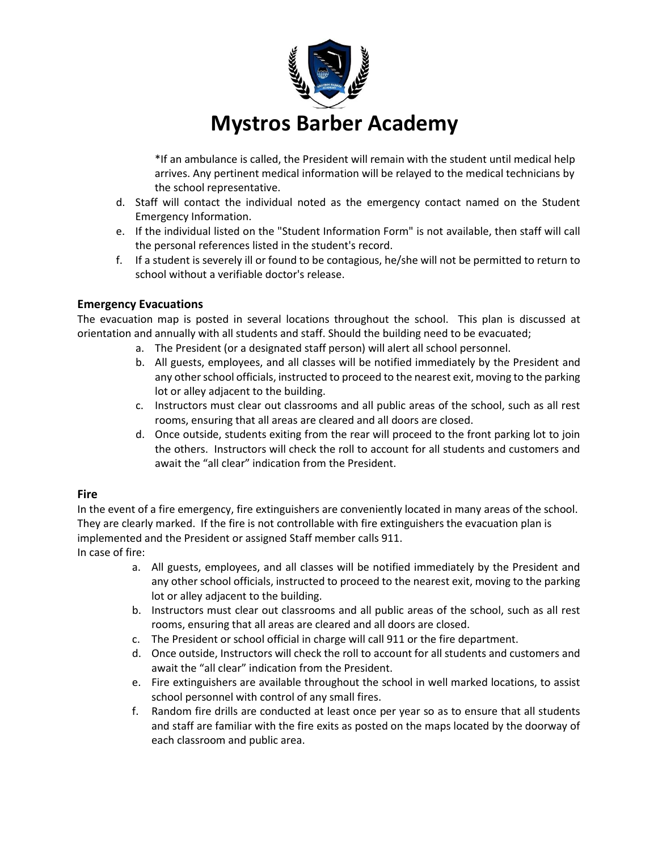

\*If an ambulance is called, the President will remain with the student until medical help arrives. Any pertinent medical information will be relayed to the medical technicians by the school representative.

- d. Staff will contact the individual noted as the emergency contact named on the Student Emergency Information.
- e. If the individual listed on the "Student Information Form" is not available, then staff will call the personal references listed in the student's record.
- f. If a student is severely ill or found to be contagious, he/she will not be permitted to return to school without a verifiable doctor's release.

## **Emergency Evacuations**

The evacuation map is posted in several locations throughout the school. This plan is discussed at orientation and annually with all students and staff. Should the building need to be evacuated;

- a. The President (or a designated staff person) will alert all school personnel.
- b. All guests, employees, and all classes will be notified immediately by the President and any other school officials, instructed to proceed to the nearest exit, moving to the parking lot or alley adjacent to the building.
- c. Instructors must clear out classrooms and all public areas of the school, such as all rest rooms, ensuring that all areas are cleared and all doors are closed.
- d. Once outside, students exiting from the rear will proceed to the front parking lot to join the others. Instructors will check the roll to account for all students and customers and await the "all clear" indication from the President.

# **Fire**

In the event of a fire emergency, fire extinguishers are conveniently located in many areas of the school. They are clearly marked. If the fire is not controllable with fire extinguishers the evacuation plan is implemented and the President or assigned Staff member calls 911. In case of fire:

- a. All guests, employees, and all classes will be notified immediately by the President and any other school officials, instructed to proceed to the nearest exit, moving to the parking lot or alley adjacent to the building.
- b. Instructors must clear out classrooms and all public areas of the school, such as all rest rooms, ensuring that all areas are cleared and all doors are closed.
- c. The President or school official in charge will call 911 or the fire department.
- d. Once outside, Instructors will check the roll to account for all students and customers and await the "all clear" indication from the President.
- e. Fire extinguishers are available throughout the school in well marked locations, to assist school personnel with control of any small fires.
- f. Random fire drills are conducted at least once per year so as to ensure that all students and staff are familiar with the fire exits as posted on the maps located by the doorway of each classroom and public area.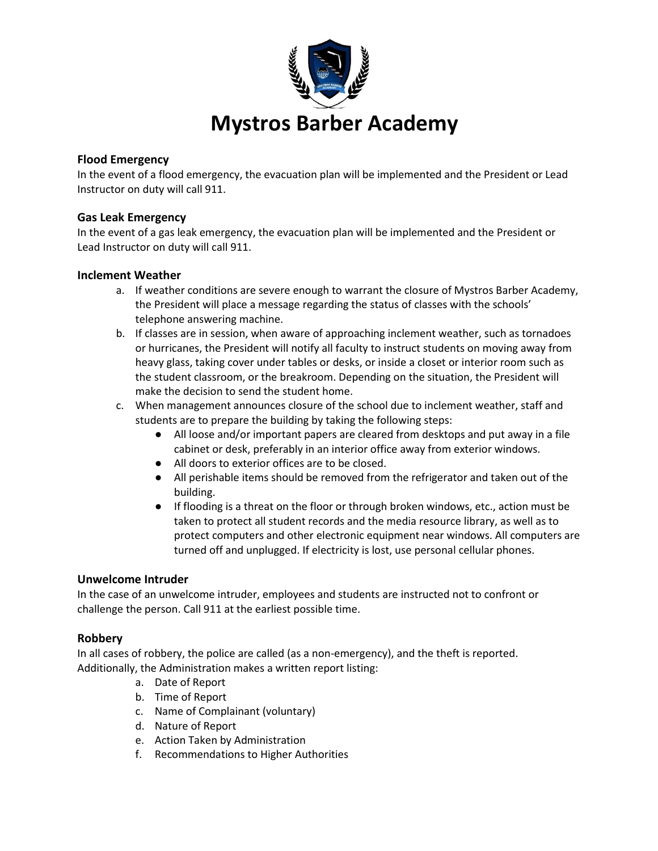

## **Flood Emergency**

In the event of a flood emergency, the evacuation plan will be implemented and the President or Lead Instructor on duty will call 911.

### **Gas Leak Emergency**

In the event of a gas leak emergency, the evacuation plan will be implemented and the President or Lead Instructor on duty will call 911.

### **Inclement Weather**

- a. If weather conditions are severe enough to warrant the closure of Mystros Barber Academy, the President will place a message regarding the status of classes with the schools' telephone answering machine.
- b. If classes are in session, when aware of approaching inclement weather, such as tornadoes or hurricanes, the President will notify all faculty to instruct students on moving away from heavy glass, taking cover under tables or desks, or inside a closet or interior room such as the student classroom, or the breakroom. Depending on the situation, the President will make the decision to send the student home.
- c. When management announces closure of the school due to inclement weather, staff and students are to prepare the building by taking the following steps:
	- All loose and/or important papers are cleared from desktops and put away in a file cabinet or desk, preferably in an interior office away from exterior windows.
	- All doors to exterior offices are to be closed.
	- All perishable items should be removed from the refrigerator and taken out of the building.
	- If flooding is a threat on the floor or through broken windows, etc., action must be taken to protect all student records and the media resource library, as well as to protect computers and other electronic equipment near windows. All computers are turned off and unplugged. If electricity is lost, use personal cellular phones.

### **Unwelcome Intruder**

In the case of an unwelcome intruder, employees and students are instructed not to confront or challenge the person. Call 911 at the earliest possible time.

### **Robbery**

In all cases of robbery, the police are called (as a non-emergency), and the theft is reported. Additionally, the Administration makes a written report listing:

- a. Date of Report
- b. Time of Report
- c. Name of Complainant (voluntary)
- d. Nature of Report
- e. Action Taken by Administration
- f. Recommendations to Higher Authorities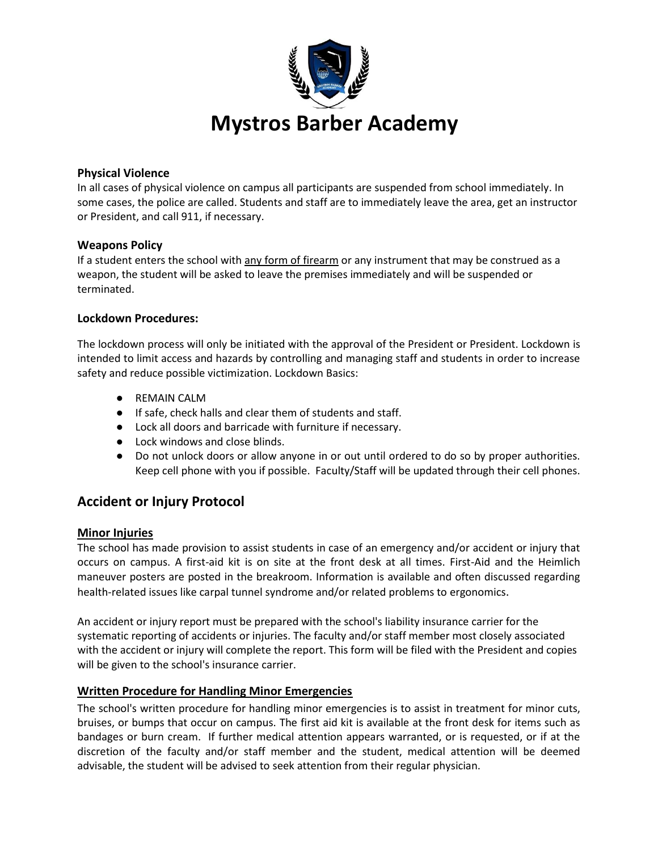

### **Physical Violence**

In all cases of physical violence on campus all participants are suspended from school immediately. In some cases, the police are called. Students and staff are to immediately leave the area, get an instructor or President, and call 911, if necessary.

#### **Weapons Policy**

If a student enters the school with any form of firearm or any instrument that may be construed as a weapon, the student will be asked to leave the premises immediately and will be suspended or terminated.

### **Lockdown Procedures:**

The lockdown process will only be initiated with the approval of the President or President. Lockdown is intended to limit access and hazards by controlling and managing staff and students in order to increase safety and reduce possible victimization. Lockdown Basics:

- REMAIN CALM
- If safe, check halls and clear them of students and staff.
- Lock all doors and barricade with furniture if necessary.
- Lock windows and close blinds.
- Do not unlock doors or allow anyone in or out until ordered to do so by proper authorities. Keep cell phone with you if possible. Faculty/Staff will be updated through their cell phones.

# **Accident or Injury Protocol**

#### **Minor Injuries**

The school has made provision to assist students in case of an emergency and/or accident or injury that occurs on campus. A first-aid kit is on site at the front desk at all times. First-Aid and the Heimlich maneuver posters are posted in the breakroom. Information is available and often discussed regarding health-related issues like carpal tunnel syndrome and/or related problems to ergonomics.

An accident or injury report must be prepared with the school's liability insurance carrier for the systematic reporting of accidents or injuries. The faculty and/or staff member most closely associated with the accident or injury will complete the report. This form will be filed with the President and copies will be given to the school's insurance carrier.

### **Written Procedure for Handling Minor Emergencies**

The school's written procedure for handling minor emergencies is to assist in treatment for minor cuts, bruises, or bumps that occur on campus. The first aid kit is available at the front desk for items such as bandages or burn cream. If further medical attention appears warranted, or is requested, or if at the discretion of the faculty and/or staff member and the student, medical attention will be deemed advisable, the student will be advised to seek attention from their regular physician.